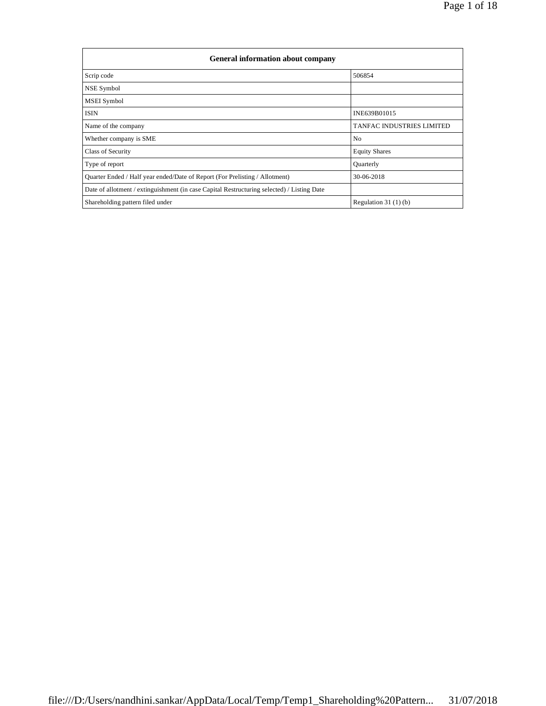| <b>General information about company</b>                                                   |                                  |  |  |  |  |  |  |
|--------------------------------------------------------------------------------------------|----------------------------------|--|--|--|--|--|--|
| Scrip code                                                                                 | 506854                           |  |  |  |  |  |  |
| NSE Symbol                                                                                 |                                  |  |  |  |  |  |  |
| <b>MSEI</b> Symbol                                                                         |                                  |  |  |  |  |  |  |
| <b>ISIN</b>                                                                                | INE639B01015                     |  |  |  |  |  |  |
| Name of the company                                                                        | <b>TANFAC INDUSTRIES LIMITED</b> |  |  |  |  |  |  |
| Whether company is SME                                                                     | N <sub>0</sub>                   |  |  |  |  |  |  |
| Class of Security                                                                          | <b>Equity Shares</b>             |  |  |  |  |  |  |
| Type of report                                                                             | Quarterly                        |  |  |  |  |  |  |
| Quarter Ended / Half year ended/Date of Report (For Prelisting / Allotment)                | 30-06-2018                       |  |  |  |  |  |  |
| Date of allotment / extinguishment (in case Capital Restructuring selected) / Listing Date |                                  |  |  |  |  |  |  |
| Shareholding pattern filed under                                                           | Regulation $31(1)(b)$            |  |  |  |  |  |  |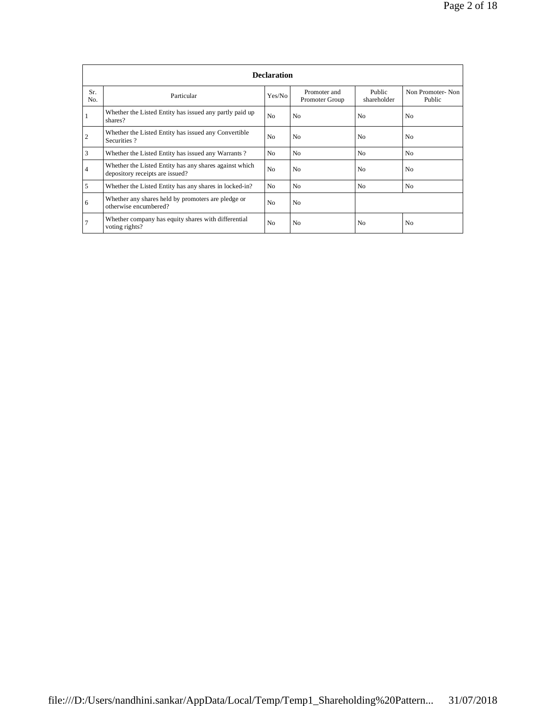|                | <b>Declaration</b>                                                                        |                |                                |                       |                            |  |  |  |  |
|----------------|-------------------------------------------------------------------------------------------|----------------|--------------------------------|-----------------------|----------------------------|--|--|--|--|
| Sr.<br>No.     | Particular                                                                                | Yes/No         | Promoter and<br>Promoter Group | Public<br>shareholder | Non Promoter-Non<br>Public |  |  |  |  |
|                | Whether the Listed Entity has issued any partly paid up<br>shares?                        | N <sub>o</sub> | N <sub>0</sub>                 | N <sub>0</sub>        | N <sub>0</sub>             |  |  |  |  |
| $\overline{2}$ | Whether the Listed Entity has issued any Convertible<br>Securities?                       | N <sub>0</sub> | N <sub>0</sub>                 | N <sub>0</sub>        | N <sub>0</sub>             |  |  |  |  |
| 3              | Whether the Listed Entity has issued any Warrants?                                        | N <sub>0</sub> | N <sub>0</sub>                 | N <sub>o</sub>        | N <sub>0</sub>             |  |  |  |  |
| 4              | Whether the Listed Entity has any shares against which<br>depository receipts are issued? | N <sub>o</sub> | N <sub>0</sub>                 | N <sub>o</sub>        | N <sub>0</sub>             |  |  |  |  |
| 5              | Whether the Listed Entity has any shares in locked-in?                                    | N <sub>0</sub> | N <sub>0</sub>                 | N <sub>o</sub>        | N <sub>o</sub>             |  |  |  |  |
| 6              | Whether any shares held by promoters are pledge or<br>otherwise encumbered?               | N <sub>o</sub> | N <sub>0</sub>                 |                       |                            |  |  |  |  |
|                | Whether company has equity shares with differential<br>voting rights?                     | N <sub>o</sub> | N <sub>0</sub>                 | N <sub>0</sub>        | N <sub>0</sub>             |  |  |  |  |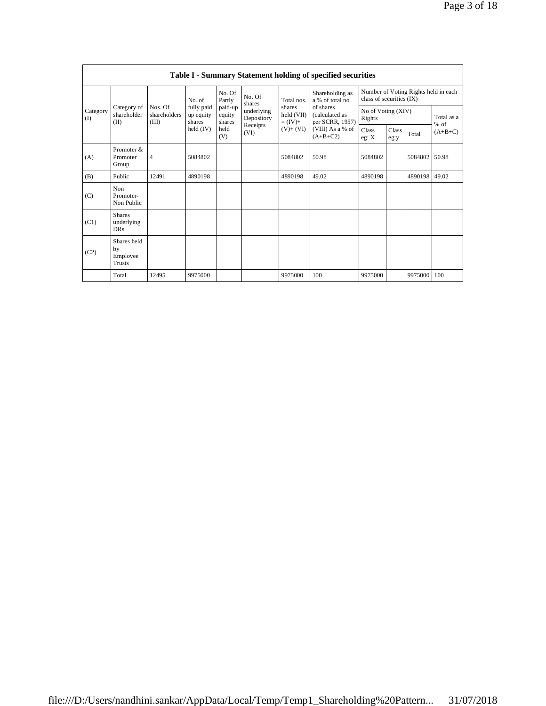|                 | Table I - Summary Statement holding of specified securities |                                                      |                         |                                                                |                                                                  |                                                              |                                                                                                                         |                                                                  |               |         |                      |  |
|-----------------|-------------------------------------------------------------|------------------------------------------------------|-------------------------|----------------------------------------------------------------|------------------------------------------------------------------|--------------------------------------------------------------|-------------------------------------------------------------------------------------------------------------------------|------------------------------------------------------------------|---------------|---------|----------------------|--|
| Category<br>(1) | Category of<br>shareholder<br>(II)                          | No. of<br>Nos. Of<br>shareholders<br>shares<br>(III) |                         | No. Of<br>Partly<br>paid-up<br>equity<br>shares<br>held<br>(V) | No. Of<br>shares<br>underlying<br>Depository<br>Receipts<br>(VI) | Total nos.<br>shares<br>held (VII)<br>$=(IV)+$<br>$(V)+(VI)$ | Shareholding as<br>a % of total no.<br>of shares<br>(calculated as<br>per SCRR, 1957)<br>(VIII) As a % of<br>$(A+B+C2)$ | Number of Voting Rights held in each<br>class of securities (IX) |               |         |                      |  |
|                 |                                                             |                                                      | fully paid<br>up equity |                                                                |                                                                  |                                                              |                                                                                                                         | No of Voting (XIV)<br>Rights                                     |               |         | Total as a<br>$%$ of |  |
|                 |                                                             |                                                      | $\text{held (IV)}$      |                                                                |                                                                  |                                                              |                                                                                                                         | Class<br>eg: X                                                   | Class<br>eg:y | Total   | $(A+B+C)$            |  |
| (A)             | Promoter &<br>Promoter<br>Group                             | $\overline{4}$                                       | 5084802                 |                                                                |                                                                  | 5084802                                                      | 50.98                                                                                                                   | 5084802                                                          |               | 5084802 | 50.98                |  |
| (B)             | Public                                                      | 12491                                                | 4890198                 |                                                                |                                                                  | 4890198                                                      | 49.02                                                                                                                   | 4890198                                                          |               | 4890198 | 49.02                |  |
| (C)             | Non<br>Promoter-<br>Non Public                              |                                                      |                         |                                                                |                                                                  |                                                              |                                                                                                                         |                                                                  |               |         |                      |  |
| (C1)            | <b>Shares</b><br>underlying<br><b>DRs</b>                   |                                                      |                         |                                                                |                                                                  |                                                              |                                                                                                                         |                                                                  |               |         |                      |  |
| (C2)            | Shares held<br>by<br>Employee<br><b>Trusts</b>              |                                                      |                         |                                                                |                                                                  |                                                              |                                                                                                                         |                                                                  |               |         |                      |  |
|                 | Total                                                       | 12495                                                | 9975000                 |                                                                |                                                                  | 9975000                                                      | 100                                                                                                                     | 9975000                                                          |               | 9975000 | 100                  |  |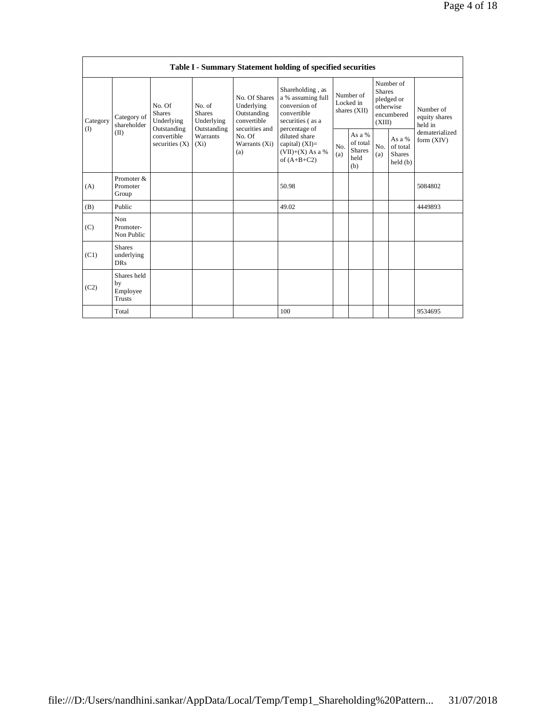| Table I - Summary Statement holding of specified securities |                                           |                                                                                                                                                                        |                                |                                                                             |                                                                                                            |                                                    |            |                                                                               |                              |                                       |
|-------------------------------------------------------------|-------------------------------------------|------------------------------------------------------------------------------------------------------------------------------------------------------------------------|--------------------------------|-----------------------------------------------------------------------------|------------------------------------------------------------------------------------------------------------|----------------------------------------------------|------------|-------------------------------------------------------------------------------|------------------------------|---------------------------------------|
| Category<br>(I)                                             | Category of<br>shareholder<br>(II)        | No. Of<br>No. of<br><b>Shares</b><br><b>Shares</b><br>Underlying<br>Underlying<br>Outstanding<br>Outstanding<br>convertible<br>Warrants<br>securities $(X)$<br>$(X_i)$ |                                | No. Of Shares<br>Underlying<br>Outstanding<br>convertible<br>securities and | Shareholding, as<br>a % assuming full<br>conversion of<br>convertible<br>securities (as a<br>percentage of | Number of<br>Locked in<br>shares (XII)             |            | Number of<br><b>Shares</b><br>pledged or<br>otherwise<br>encumbered<br>(XIII) |                              | Number of<br>equity shares<br>held in |
|                                                             |                                           |                                                                                                                                                                        | No. Of<br>Warrants (Xi)<br>(a) | diluted share<br>capital) $(XI)$ =<br>$(VII)+(X)$ As a %<br>of $(A+B+C2)$   | No.<br>(a)                                                                                                 | As a %<br>of total<br><b>Shares</b><br>held<br>(b) | No.<br>(a) | As a %<br>of total<br><b>Shares</b><br>held(b)                                | dematerialized<br>form (XIV) |                                       |
| (A)                                                         | Promoter &<br>Promoter<br>Group           |                                                                                                                                                                        |                                |                                                                             | 50.98                                                                                                      |                                                    |            |                                                                               |                              | 5084802                               |
| (B)                                                         | Public                                    |                                                                                                                                                                        |                                |                                                                             | 49.02                                                                                                      |                                                    |            |                                                                               |                              | 4449893                               |
| (C)                                                         | Non<br>Promoter-<br>Non Public            |                                                                                                                                                                        |                                |                                                                             |                                                                                                            |                                                    |            |                                                                               |                              |                                       |
| (C1)                                                        | <b>Shares</b><br>underlying<br><b>DRs</b> |                                                                                                                                                                        |                                |                                                                             |                                                                                                            |                                                    |            |                                                                               |                              |                                       |
| (C2)                                                        | Shares held<br>by<br>Employee<br>Trusts   |                                                                                                                                                                        |                                |                                                                             |                                                                                                            |                                                    |            |                                                                               |                              |                                       |
|                                                             | Total                                     |                                                                                                                                                                        |                                |                                                                             | 100                                                                                                        |                                                    |            |                                                                               |                              | 9534695                               |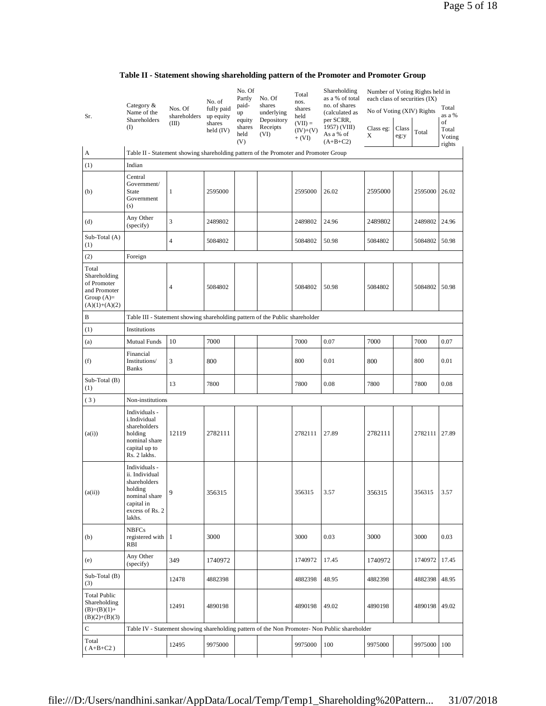| Table II - Statement showing shareholding pattern of the Promoter and Promoter Group |  |  |  |
|--------------------------------------------------------------------------------------|--|--|--|
|                                                                                      |  |  |  |

|                                                                                         | Category $\&$                                                                                                          | Nos. Of               | No. of<br>fully paid             | No. Of<br>Partly<br>paid- | No. Of<br>shares                     | Total<br>nos.<br>shares         | Shareholding<br>as a % of total<br>no. of shares                                              | Number of Voting Rights held in<br>each class of securities (IX) |       |         | Total                 |
|-----------------------------------------------------------------------------------------|------------------------------------------------------------------------------------------------------------------------|-----------------------|----------------------------------|---------------------------|--------------------------------------|---------------------------------|-----------------------------------------------------------------------------------------------|------------------------------------------------------------------|-------|---------|-----------------------|
| Sr.                                                                                     | Name of the<br>Shareholders<br>(I)                                                                                     | shareholders<br>(III) | up equity<br>shares<br>held (IV) | up<br>equity<br>shares    | underlying<br>Depository<br>Receipts | held<br>$(VII) =$<br>$(IV)+(V)$ | (calculated as<br>per SCRR,<br>1957) (VIII)                                                   | No of Voting (XIV) Rights<br>Class eg:                           | Class |         | as a %<br>of<br>Total |
|                                                                                         |                                                                                                                        |                       |                                  | held<br>(V)               | (VI)                                 | $+ (VI)$                        | As a % of<br>$(A+B+C2)$                                                                       | X                                                                | eg:y  | Total   | Voting<br>rights      |
| A                                                                                       | Table II - Statement showing shareholding pattern of the Promoter and Promoter Group                                   |                       |                                  |                           |                                      |                                 |                                                                                               |                                                                  |       |         |                       |
| (1)                                                                                     | Indian                                                                                                                 |                       |                                  |                           |                                      |                                 |                                                                                               |                                                                  |       |         |                       |
| (b)                                                                                     | Central<br>Government/<br><b>State</b><br>Government<br>(s)                                                            | 1                     | 2595000                          |                           |                                      | 2595000                         | 26.02                                                                                         | 2595000                                                          |       | 2595000 | 26.02                 |
| (d)                                                                                     | Any Other<br>(specify)                                                                                                 | 3                     | 2489802                          |                           |                                      | 2489802                         | 24.96                                                                                         | 2489802                                                          |       | 2489802 | 24.96                 |
| Sub-Total (A)<br>(1)                                                                    |                                                                                                                        | 4                     | 5084802                          |                           |                                      | 5084802                         | 50.98                                                                                         | 5084802                                                          |       | 5084802 | 50.98                 |
| (2)                                                                                     | Foreign                                                                                                                |                       |                                  |                           |                                      |                                 |                                                                                               |                                                                  |       |         |                       |
| Total<br>Shareholding<br>of Promoter<br>and Promoter<br>Group $(A)=$<br>$(A)(1)+(A)(2)$ |                                                                                                                        | 4                     | 5084802                          |                           |                                      | 5084802                         | 50.98                                                                                         | 5084802                                                          |       | 5084802 | 50.98                 |
| B                                                                                       | Table III - Statement showing shareholding pattern of the Public shareholder                                           |                       |                                  |                           |                                      |                                 |                                                                                               |                                                                  |       |         |                       |
| (1)                                                                                     | Institutions                                                                                                           |                       |                                  |                           |                                      |                                 |                                                                                               |                                                                  |       |         |                       |
| (a)                                                                                     | <b>Mutual Funds</b>                                                                                                    | 10                    | 7000                             |                           |                                      | 7000                            | 0.07                                                                                          | 7000                                                             |       | 7000    | 0.07                  |
| (f)                                                                                     | Financial<br>Institutions/<br><b>Banks</b>                                                                             | 3                     | 800                              |                           |                                      | 800                             | 0.01                                                                                          | 800                                                              |       | 800     | 0.01                  |
| Sub-Total (B)<br>(1)                                                                    |                                                                                                                        | 13                    | 7800                             |                           |                                      | 7800                            | 0.08                                                                                          | 7800                                                             |       | 7800    | 0.08                  |
| (3)                                                                                     | Non-institutions                                                                                                       |                       |                                  |                           |                                      |                                 |                                                                                               |                                                                  |       |         |                       |
| (a(i))                                                                                  | Individuals -<br>i.Individual<br>shareholders<br>holding<br>nominal share<br>capital up to<br>Rs. 2 lakhs.             | 12119                 | 2782111                          |                           |                                      | 2782111                         | 27.89                                                                                         | 2782111                                                          |       | 2782111 | 27.89                 |
| (a(ii))                                                                                 | Individuals -<br>ii. Individual<br>shareholders<br>holding<br>nominal share<br>capital in<br>excess of Rs. 2<br>lakhs. | 9                     | 356315                           |                           |                                      | 356315                          | 3.57                                                                                          | 356315                                                           |       | 356315  | 3.57                  |
| (b)                                                                                     | <b>NBFCs</b><br>registered with<br>RBI                                                                                 | -1                    | 3000                             |                           |                                      | 3000                            | 0.03                                                                                          | 3000                                                             |       | 3000    | 0.03                  |
| (e)                                                                                     | Any Other<br>(specify)                                                                                                 | 349                   | 1740972                          |                           |                                      | 1740972                         | 17.45                                                                                         | 1740972                                                          |       | 1740972 | 17.45                 |
| Sub-Total (B)<br>(3)                                                                    |                                                                                                                        | 12478                 | 4882398                          |                           |                                      | 4882398                         | 48.95                                                                                         | 4882398                                                          |       | 4882398 | 48.95                 |
| <b>Total Public</b><br>Shareholding<br>$(B)=(B)(1)+$<br>$(B)(2)+(B)(3)$                 |                                                                                                                        | 12491                 | 4890198                          |                           |                                      | 4890198                         | 49.02                                                                                         | 4890198                                                          |       | 4890198 | 49.02                 |
| ${\bf C}$                                                                               |                                                                                                                        |                       |                                  |                           |                                      |                                 | Table IV - Statement showing shareholding pattern of the Non Promoter- Non Public shareholder |                                                                  |       |         |                       |
| Total<br>$(A+B+C2)$                                                                     |                                                                                                                        | 12495                 | 9975000                          |                           |                                      | 9975000                         | 100                                                                                           | 9975000                                                          |       | 9975000 | 100                   |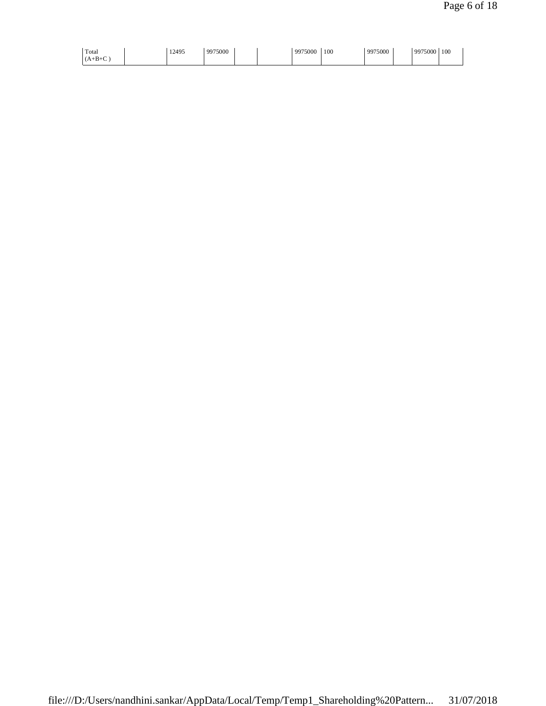| Total<br>$(A+B+C)$<br>$\sim$ | 12495 | 9975000 | 9975000 | 100 | 9975000 | 9975000 | 100 |
|------------------------------|-------|---------|---------|-----|---------|---------|-----|
|------------------------------|-------|---------|---------|-----|---------|---------|-----|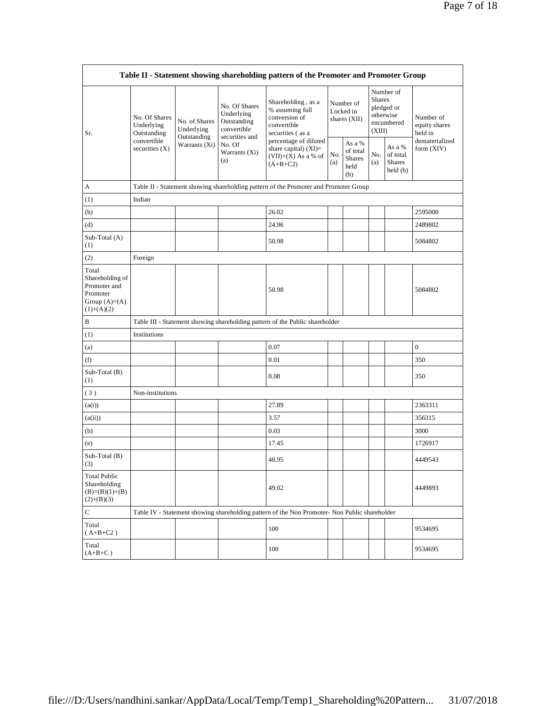| Table II - Statement showing shareholding pattern of the Promoter and Promoter Group    |                                                                               |                                                             |                                                                                                               |                                                                                                                                                                                     |                                          |                                                    |                                                                               |                                                |                                       |
|-----------------------------------------------------------------------------------------|-------------------------------------------------------------------------------|-------------------------------------------------------------|---------------------------------------------------------------------------------------------------------------|-------------------------------------------------------------------------------------------------------------------------------------------------------------------------------------|------------------------------------------|----------------------------------------------------|-------------------------------------------------------------------------------|------------------------------------------------|---------------------------------------|
| Sr.                                                                                     | No. Of Shares<br>Underlying<br>Outstanding<br>convertible<br>securities $(X)$ | No. of Shares<br>Underlying<br>Outstanding<br>Warrants (Xi) | No. Of Shares<br>Underlying<br>Outstanding<br>convertible<br>securities and<br>No. Of<br>Warrants (Xi)<br>(a) | Shareholding, as a<br>% assuming full<br>conversion of<br>convertible<br>securities (as a<br>percentage of diluted<br>share capital) $(XI)=$<br>$(VII)+(X)$ As a % of<br>$(A+B+C2)$ | Number of<br>Locked in<br>shares $(XII)$ |                                                    | Number of<br><b>Shares</b><br>pledged or<br>otherwise<br>encumbered<br>(XIII) |                                                | Number of<br>equity shares<br>held in |
|                                                                                         |                                                                               |                                                             |                                                                                                               |                                                                                                                                                                                     | No.<br>(a)                               | As a %<br>of total<br><b>Shares</b><br>held<br>(b) | No.<br>(a)                                                                    | As a %<br>of total<br><b>Shares</b><br>held(b) | dematerialized<br>form (XIV)          |
| А                                                                                       |                                                                               |                                                             |                                                                                                               | Table II - Statement showing shareholding pattern of the Promoter and Promoter Group                                                                                                |                                          |                                                    |                                                                               |                                                |                                       |
| (1)                                                                                     | Indian                                                                        |                                                             |                                                                                                               |                                                                                                                                                                                     |                                          |                                                    |                                                                               |                                                |                                       |
| (b)                                                                                     |                                                                               |                                                             |                                                                                                               | 26.02                                                                                                                                                                               |                                          |                                                    |                                                                               |                                                | 2595000                               |
| (d)                                                                                     |                                                                               |                                                             |                                                                                                               | 24.96                                                                                                                                                                               |                                          |                                                    |                                                                               |                                                | 2489802                               |
| Sub-Total (A)<br>(1)                                                                    |                                                                               |                                                             |                                                                                                               | 50.98                                                                                                                                                                               |                                          |                                                    |                                                                               |                                                | 5084802                               |
| (2)                                                                                     | Foreign                                                                       |                                                             |                                                                                                               |                                                                                                                                                                                     |                                          |                                                    |                                                                               |                                                |                                       |
| Total<br>Shareholding of<br>Promoter and<br>Promoter<br>Group $(A)=(A)$<br>$(1)+(A)(2)$ |                                                                               |                                                             |                                                                                                               | 50.98                                                                                                                                                                               |                                          |                                                    |                                                                               |                                                | 5084802                               |
| B                                                                                       |                                                                               |                                                             |                                                                                                               | Table III - Statement showing shareholding pattern of the Public shareholder                                                                                                        |                                          |                                                    |                                                                               |                                                |                                       |
| (1)                                                                                     | Institutions                                                                  |                                                             |                                                                                                               |                                                                                                                                                                                     |                                          |                                                    |                                                                               |                                                |                                       |
| (a)                                                                                     |                                                                               |                                                             |                                                                                                               | 0.07                                                                                                                                                                                |                                          |                                                    |                                                                               |                                                | $\boldsymbol{0}$                      |
| (f)                                                                                     |                                                                               |                                                             |                                                                                                               | 0.01                                                                                                                                                                                |                                          |                                                    |                                                                               |                                                | 350                                   |
| Sub-Total (B)<br>(1)                                                                    |                                                                               |                                                             |                                                                                                               | 0.08                                                                                                                                                                                |                                          |                                                    |                                                                               |                                                | 350                                   |
| (3)                                                                                     | Non-institutions                                                              |                                                             |                                                                                                               |                                                                                                                                                                                     |                                          |                                                    |                                                                               |                                                |                                       |
| (a(i))                                                                                  |                                                                               |                                                             |                                                                                                               | 27.89                                                                                                                                                                               |                                          |                                                    |                                                                               |                                                | 2363311                               |
| (a(ii))                                                                                 |                                                                               |                                                             |                                                                                                               | 3.57                                                                                                                                                                                |                                          |                                                    |                                                                               |                                                | 356315                                |
| (b)                                                                                     |                                                                               |                                                             |                                                                                                               | 0.03                                                                                                                                                                                |                                          |                                                    |                                                                               |                                                | 3000                                  |
| (e)                                                                                     |                                                                               |                                                             |                                                                                                               | 17.45                                                                                                                                                                               |                                          |                                                    |                                                                               |                                                | 1726917                               |
| $Sub-Total(B)$<br>(3)                                                                   |                                                                               |                                                             |                                                                                                               | 48.95                                                                                                                                                                               |                                          |                                                    |                                                                               |                                                | 4449543                               |
| <b>Total Public</b><br>Shareholding<br>$(B)=(B)(1)+(B)$<br>$(2)+(B)(3)$                 |                                                                               |                                                             |                                                                                                               | 49.02                                                                                                                                                                               |                                          |                                                    |                                                                               |                                                | 4449893                               |
| С                                                                                       |                                                                               |                                                             |                                                                                                               | Table IV - Statement showing shareholding pattern of the Non Promoter- Non Public shareholder                                                                                       |                                          |                                                    |                                                                               |                                                |                                       |
| Total<br>$(A+B+C2)$                                                                     |                                                                               |                                                             |                                                                                                               | 100                                                                                                                                                                                 |                                          |                                                    |                                                                               |                                                | 9534695                               |
| Total<br>$(A+B+C)$                                                                      |                                                                               |                                                             |                                                                                                               | 100                                                                                                                                                                                 |                                          |                                                    |                                                                               |                                                | 9534695                               |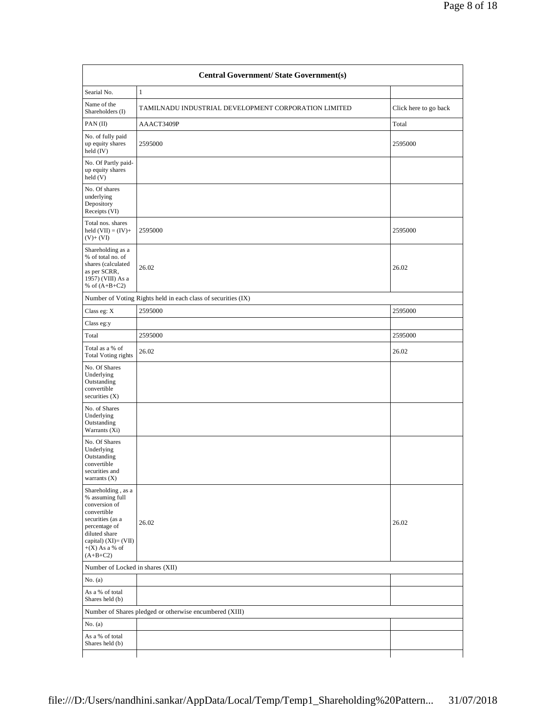| <b>Central Government/ State Government(s)</b>                                                                                                                                           |                                                               |                       |  |  |  |  |  |
|------------------------------------------------------------------------------------------------------------------------------------------------------------------------------------------|---------------------------------------------------------------|-----------------------|--|--|--|--|--|
| Searial No.                                                                                                                                                                              | $\mathbf{1}$                                                  |                       |  |  |  |  |  |
| Name of the<br>Shareholders (I)                                                                                                                                                          | TAMILNADU INDUSTRIAL DEVELOPMENT CORPORATION LIMITED          | Click here to go back |  |  |  |  |  |
| PAN(II)                                                                                                                                                                                  | AAACT3409P                                                    | Total                 |  |  |  |  |  |
| No. of fully paid<br>up equity shares<br>held (IV)                                                                                                                                       | 2595000                                                       | 2595000               |  |  |  |  |  |
| No. Of Partly paid-<br>up equity shares<br>held(V)                                                                                                                                       |                                                               |                       |  |  |  |  |  |
| No. Of shares<br>underlying<br>Depository<br>Receipts (VI)                                                                                                                               |                                                               |                       |  |  |  |  |  |
| Total nos. shares<br>held $(VII) = (IV) +$<br>$(V)+(VI)$                                                                                                                                 | 2595000                                                       | 2595000               |  |  |  |  |  |
| Shareholding as a<br>% of total no. of<br>shares (calculated<br>as per SCRR,<br>1957) (VIII) As a<br>% of $(A+B+C2)$                                                                     | 26.02                                                         | 26.02                 |  |  |  |  |  |
|                                                                                                                                                                                          | Number of Voting Rights held in each class of securities (IX) |                       |  |  |  |  |  |
| Class eg: X                                                                                                                                                                              | 2595000                                                       | 2595000               |  |  |  |  |  |
| Class eg:y                                                                                                                                                                               |                                                               |                       |  |  |  |  |  |
| Total                                                                                                                                                                                    | 2595000                                                       | 2595000               |  |  |  |  |  |
| Total as a % of<br><b>Total Voting rights</b>                                                                                                                                            | 26.02                                                         | 26.02                 |  |  |  |  |  |
| No. Of Shares<br>Underlying<br>Outstanding<br>convertible<br>securities $(X)$                                                                                                            |                                                               |                       |  |  |  |  |  |
| No. of Shares<br>Underlying<br>Outstanding<br>Warrants (Xi)                                                                                                                              |                                                               |                       |  |  |  |  |  |
| No. Of Shares<br>Underlying<br>Outstanding<br>convertible<br>securities and<br>warrants $(X)$                                                                                            |                                                               |                       |  |  |  |  |  |
| Shareholding, as a<br>% assuming full<br>conversion of<br>convertible<br>securities (as a<br>percentage of<br>diluted share<br>capital) $(XI) = (VII)$<br>$+(X)$ As a % of<br>$(A+B+C2)$ | 26.02                                                         | 26.02                 |  |  |  |  |  |
| Number of Locked in shares (XII)                                                                                                                                                         |                                                               |                       |  |  |  |  |  |
| No. $(a)$                                                                                                                                                                                |                                                               |                       |  |  |  |  |  |
| As a % of total<br>Shares held (b)                                                                                                                                                       |                                                               |                       |  |  |  |  |  |
|                                                                                                                                                                                          | Number of Shares pledged or otherwise encumbered (XIII)       |                       |  |  |  |  |  |
| No. $(a)$                                                                                                                                                                                |                                                               |                       |  |  |  |  |  |
| As a % of total<br>Shares held (b)                                                                                                                                                       |                                                               |                       |  |  |  |  |  |
|                                                                                                                                                                                          |                                                               |                       |  |  |  |  |  |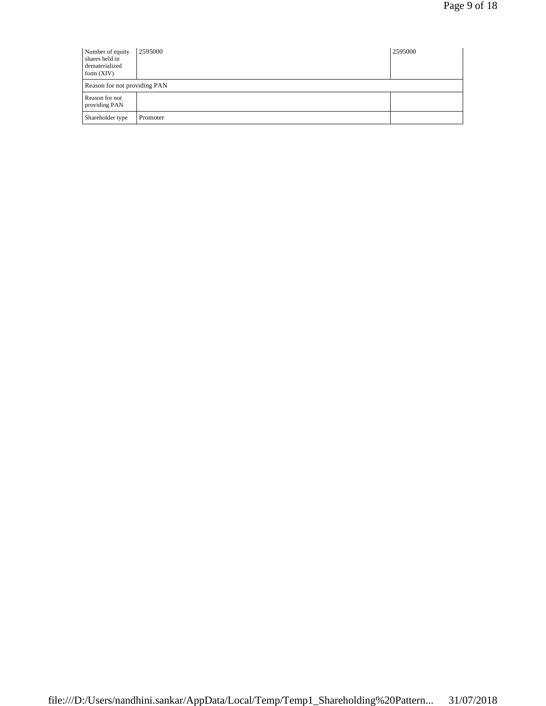| Number of equity<br>shares held in<br>dematerialized<br>form $(XIV)$ | 2595000  | 2595000 |  |  |  |
|----------------------------------------------------------------------|----------|---------|--|--|--|
| Reason for not providing PAN                                         |          |         |  |  |  |
| Reason for not<br>providing PAN                                      |          |         |  |  |  |
| Shareholder type                                                     | Promoter |         |  |  |  |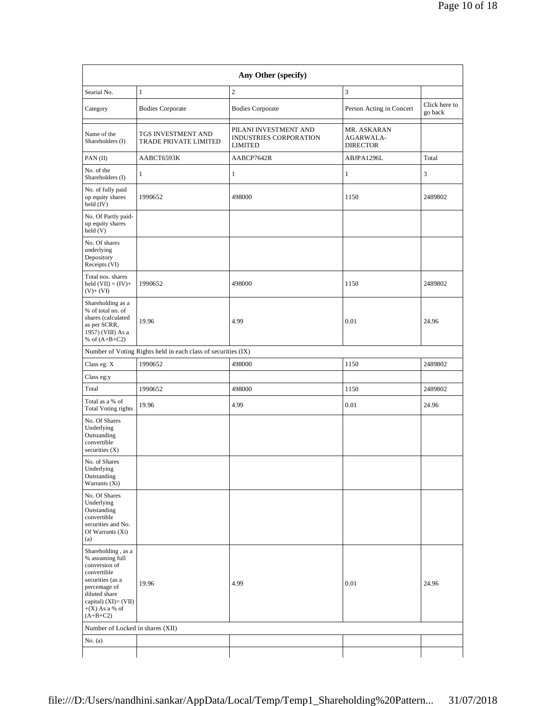| Any Other (specify)                                                                                                                                                                      |                                                               |                                                                   |                                             |                          |  |  |  |  |  |
|------------------------------------------------------------------------------------------------------------------------------------------------------------------------------------------|---------------------------------------------------------------|-------------------------------------------------------------------|---------------------------------------------|--------------------------|--|--|--|--|--|
| Searial No.                                                                                                                                                                              | $\mathbf{1}$                                                  | $\mathbf{2}$                                                      | 3                                           |                          |  |  |  |  |  |
| Category                                                                                                                                                                                 | <b>Bodies Corporate</b>                                       | <b>Bodies Corporate</b>                                           | Person Acting in Concert                    | Click here to<br>go back |  |  |  |  |  |
| Name of the<br>Shareholders (I)                                                                                                                                                          | TGS INVESTMENT AND<br>TRADE PRIVATE LIMITED                   | PILANI INVESTMENT AND<br>INDUSTRIES CORPORATION<br><b>LIMITED</b> | MR. ASKARAN<br>AGARWALA-<br><b>DIRECTOR</b> |                          |  |  |  |  |  |
| PAN(II)                                                                                                                                                                                  | AABCT6593K                                                    | AABCP7642R                                                        | ABJPA1296L                                  | Total                    |  |  |  |  |  |
| No. of the<br>Shareholders (I)                                                                                                                                                           | 1                                                             | $\mathbf{1}$                                                      | $\mathbf{1}$                                | 3                        |  |  |  |  |  |
| No. of fully paid<br>up equity shares<br>held (IV)                                                                                                                                       | 1990652                                                       | 498000                                                            | 1150                                        | 2489802                  |  |  |  |  |  |
| No. Of Partly paid-<br>up equity shares<br>held (V)                                                                                                                                      |                                                               |                                                                   |                                             |                          |  |  |  |  |  |
| No. Of shares<br>underlying<br>Depository<br>Receipts (VI)                                                                                                                               |                                                               |                                                                   |                                             |                          |  |  |  |  |  |
| Total nos. shares<br>held $(VII) = (IV) +$<br>$(V)+(VI)$                                                                                                                                 | 1990652                                                       | 498000                                                            | 1150                                        | 2489802                  |  |  |  |  |  |
| Shareholding as a<br>% of total no. of<br>shares (calculated<br>as per SCRR,<br>1957) (VIII) As a<br>% of $(A+B+C2)$                                                                     | 19.96                                                         | 4.99                                                              | 0.01                                        | 24.96                    |  |  |  |  |  |
|                                                                                                                                                                                          | Number of Voting Rights held in each class of securities (IX) |                                                                   |                                             |                          |  |  |  |  |  |
| Class eg: X                                                                                                                                                                              | 1990652                                                       | 498000                                                            | 1150                                        | 2489802                  |  |  |  |  |  |
| Class eg:y                                                                                                                                                                               |                                                               |                                                                   |                                             |                          |  |  |  |  |  |
| Total                                                                                                                                                                                    | 1990652                                                       | 498000                                                            | 1150                                        | 2489802                  |  |  |  |  |  |
| Total as a % of<br><b>Total Voting rights</b>                                                                                                                                            | 19.96                                                         | 4.99                                                              | 0.01                                        | 24.96                    |  |  |  |  |  |
| No. Of Shares<br>Underlying<br>Outstanding<br>convertible<br>securities $(X)$                                                                                                            |                                                               |                                                                   |                                             |                          |  |  |  |  |  |
| No. of Shares<br>Underlying<br>Outstanding<br>Warrants (Xi)                                                                                                                              |                                                               |                                                                   |                                             |                          |  |  |  |  |  |
| No. Of Shares<br>Underlying<br>Outstanding<br>convertible<br>securities and No.<br>Of Warrants (Xi)<br>(a)                                                                               |                                                               |                                                                   |                                             |                          |  |  |  |  |  |
| Shareholding, as a<br>% assuming full<br>conversion of<br>convertible<br>securities (as a<br>percentage of<br>diluted share<br>capital) $(XI) = (VII)$<br>$+(X)$ As a % of<br>$(A+B+C2)$ | 19.96                                                         | 4.99                                                              | 0.01                                        | 24.96                    |  |  |  |  |  |
| Number of Locked in shares (XII)                                                                                                                                                         |                                                               |                                                                   |                                             |                          |  |  |  |  |  |
| No. (a)                                                                                                                                                                                  |                                                               |                                                                   |                                             |                          |  |  |  |  |  |
|                                                                                                                                                                                          |                                                               |                                                                   |                                             |                          |  |  |  |  |  |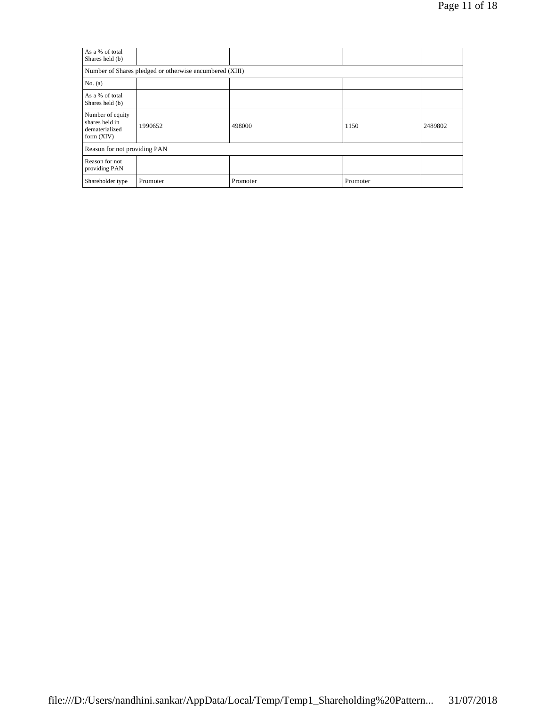| As a % of total<br>Shares held (b)                                   |          |          |          |         |  |  |  |  |  |
|----------------------------------------------------------------------|----------|----------|----------|---------|--|--|--|--|--|
| Number of Shares pledged or otherwise encumbered (XIII)              |          |          |          |         |  |  |  |  |  |
| No. $(a)$                                                            |          |          |          |         |  |  |  |  |  |
| As a % of total<br>Shares held (b)                                   |          |          |          |         |  |  |  |  |  |
| Number of equity<br>shares held in<br>dematerialized<br>form $(XIV)$ | 1990652  | 498000   | 1150     | 2489802 |  |  |  |  |  |
| Reason for not providing PAN                                         |          |          |          |         |  |  |  |  |  |
| Reason for not<br>providing PAN                                      |          |          |          |         |  |  |  |  |  |
| Shareholder type                                                     | Promoter | Promoter | Promoter |         |  |  |  |  |  |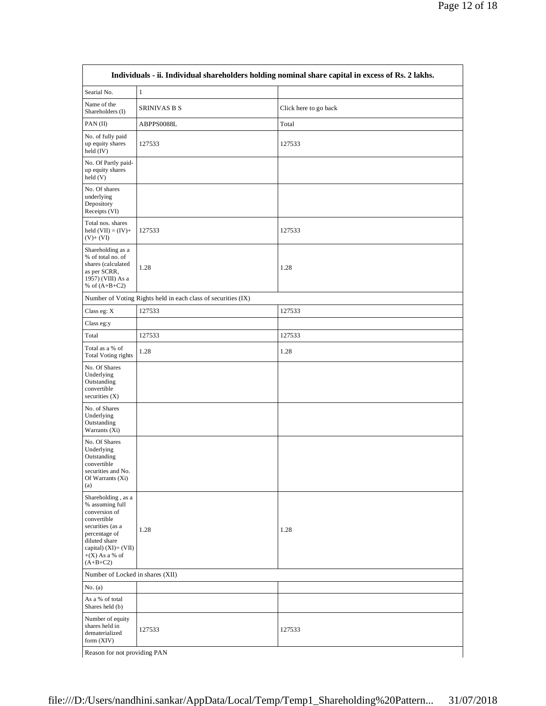| Searial No.                                                                                                                                                                              | $\,1$                                                         |                       |
|------------------------------------------------------------------------------------------------------------------------------------------------------------------------------------------|---------------------------------------------------------------|-----------------------|
| Name of the<br>Shareholders (I)                                                                                                                                                          | <b>SRINIVAS B S</b>                                           | Click here to go back |
| PAN(II)                                                                                                                                                                                  | ABPPS0088L                                                    | Total                 |
| No. of fully paid<br>up equity shares<br>held (IV)                                                                                                                                       | 127533                                                        | 127533                |
| No. Of Partly paid-<br>up equity shares<br>held (V)                                                                                                                                      |                                                               |                       |
| No. Of shares<br>underlying<br>Depository<br>Receipts (VI)                                                                                                                               |                                                               |                       |
| Total nos. shares<br>held $(VII) = (IV) +$<br>$(V)+(VI)$                                                                                                                                 | 127533                                                        | 127533                |
| Shareholding as a<br>% of total no. of<br>shares (calculated<br>as per SCRR,<br>1957) (VIII) As a<br>% of $(A+B+C2)$                                                                     | 1.28                                                          | 1.28                  |
|                                                                                                                                                                                          | Number of Voting Rights held in each class of securities (IX) |                       |
| Class eg: X                                                                                                                                                                              | 127533                                                        | 127533                |
| Class eg:y                                                                                                                                                                               |                                                               |                       |
| Total                                                                                                                                                                                    | 127533                                                        | 127533                |
| Total as a % of<br><b>Total Voting rights</b>                                                                                                                                            | 1.28                                                          | 1.28                  |
| No. Of Shares<br>Underlying<br>Outstanding<br>convertible<br>securities $(X)$                                                                                                            |                                                               |                       |
| No. of Shares<br>Underlying<br>Outstanding<br>Warrants (Xi)                                                                                                                              |                                                               |                       |
| No. Of Shares<br>Underlying<br>Outstanding<br>convertible<br>securities and No.<br>Of Warrants (Xi)<br>(a)                                                                               |                                                               |                       |
| Shareholding, as a<br>% assuming full<br>conversion of<br>convertible<br>securities (as a<br>percentage of<br>diluted share<br>capital) $(XI) = (VII)$<br>$+(X)$ As a % of<br>$(A+B+C2)$ | 1.28                                                          | 1.28                  |
| Number of Locked in shares (XII)                                                                                                                                                         |                                                               |                       |
| No. $(a)$                                                                                                                                                                                |                                                               |                       |
| As a % of total<br>Shares held (b)                                                                                                                                                       |                                                               |                       |
| Number of equity<br>shares held in<br>dematerialized<br>form (XIV)                                                                                                                       | 127533                                                        | 127533                |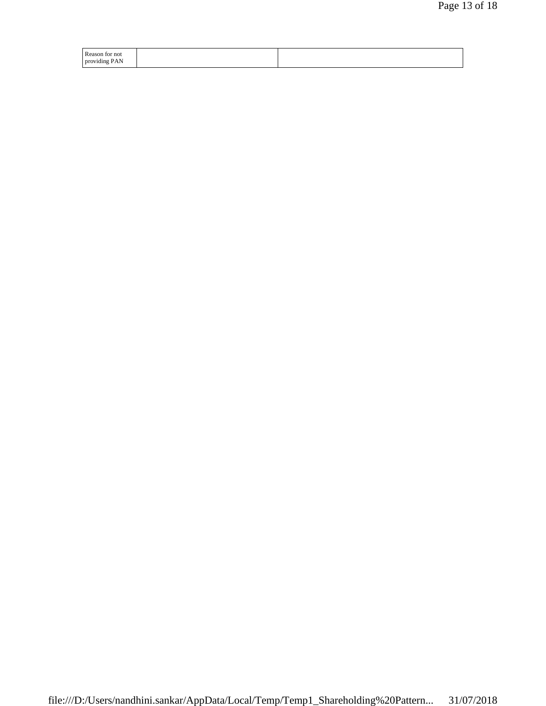| Reason for not |  |
|----------------|--|
| providing PAN  |  |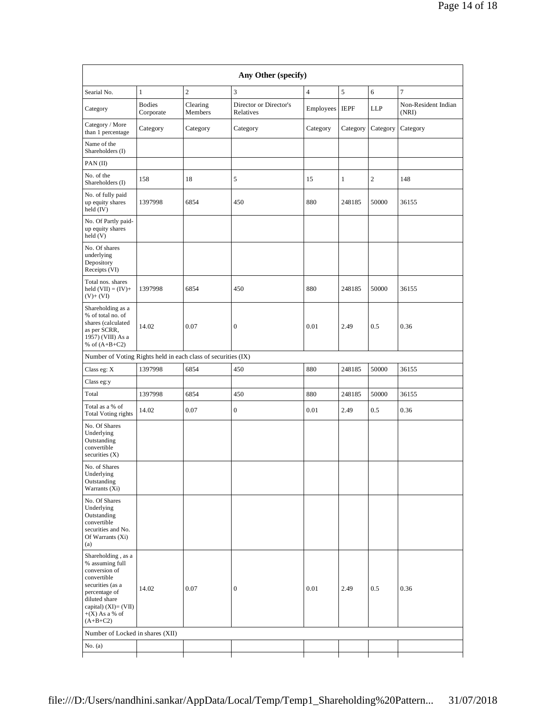| Any Other (specify)                                                                                                                                                                      |                            |                     |                                     |                |              |                |                              |
|------------------------------------------------------------------------------------------------------------------------------------------------------------------------------------------|----------------------------|---------------------|-------------------------------------|----------------|--------------|----------------|------------------------------|
| Searial No.                                                                                                                                                                              | $\mathbf{1}$               | $\overline{c}$      | 3                                   | $\overline{4}$ | 5            | 6              | $\tau$                       |
| Category                                                                                                                                                                                 | <b>Bodies</b><br>Corporate | Clearing<br>Members | Director or Director's<br>Relatives | Employees      | <b>IEPF</b>  | LLP            | Non-Resident Indian<br>(NRI) |
| Category / More<br>than 1 percentage                                                                                                                                                     | Category                   | Category            | Category                            | Category       | Category     | Category       | Category                     |
| Name of the<br>Shareholders (I)                                                                                                                                                          |                            |                     |                                     |                |              |                |                              |
| PAN(II)                                                                                                                                                                                  |                            |                     |                                     |                |              |                |                              |
| No. of the<br>Shareholders (I)                                                                                                                                                           | 158                        | 18                  | 5                                   | 15             | $\mathbf{1}$ | $\overline{c}$ | 148                          |
| No. of fully paid<br>up equity shares<br>held (IV)                                                                                                                                       | 1397998                    | 6854                | 450                                 | 880            | 248185       | 50000          | 36155                        |
| No. Of Partly paid-<br>up equity shares<br>held(V)                                                                                                                                       |                            |                     |                                     |                |              |                |                              |
| No. Of shares<br>underlying<br>Depository<br>Receipts (VI)                                                                                                                               |                            |                     |                                     |                |              |                |                              |
| Total nos. shares<br>held $(VII) = (IV) +$<br>$(V)+(VI)$                                                                                                                                 | 1397998                    | 6854                | 450                                 | 880            | 248185       | 50000          | 36155                        |
| Shareholding as a<br>% of total no. of<br>shares (calculated<br>as per SCRR,<br>1957) (VIII) As a<br>% of $(A+B+C2)$                                                                     | 14.02                      | 0.07                | $\boldsymbol{0}$                    | 0.01           | 2.49         | 0.5            | 0.36                         |
| Number of Voting Rights held in each class of securities (IX)                                                                                                                            |                            |                     |                                     |                |              |                |                              |
| Class eg: X                                                                                                                                                                              | 1397998                    | 6854                | 450                                 | 880            | 248185       | 50000          | 36155                        |
| Class eg:y                                                                                                                                                                               |                            |                     |                                     |                |              |                |                              |
| Total                                                                                                                                                                                    | 1397998                    | 6854                | 450                                 | 880            | 248185       | 50000          | 36155                        |
| Total as a % of<br><b>Total Voting rights</b>                                                                                                                                            | 14.02                      | 0.07                | $\boldsymbol{0}$                    | 0.01           | 2.49         | 0.5            | 0.36                         |
| No. Of Shares<br>Underlying<br>Outstanding<br>convertible<br>securities $(X)$                                                                                                            |                            |                     |                                     |                |              |                |                              |
| No. of Shares<br>Underlying<br>Outstanding<br>Warrants (Xi)                                                                                                                              |                            |                     |                                     |                |              |                |                              |
| No. Of Shares<br>Underlying<br>Outstanding<br>convertible<br>securities and No.<br>Of Warrants (Xi)<br>(a)                                                                               |                            |                     |                                     |                |              |                |                              |
| Shareholding, as a<br>% assuming full<br>conversion of<br>convertible<br>securities (as a<br>percentage of<br>diluted share<br>capital) $(XI) = (VII)$<br>$+(X)$ As a % of<br>$(A+B+C2)$ | 14.02                      | 0.07                | $\boldsymbol{0}$                    | 0.01           | 2.49         | 0.5            | 0.36                         |
| Number of Locked in shares (XII)                                                                                                                                                         |                            |                     |                                     |                |              |                |                              |
| No. (a)                                                                                                                                                                                  |                            |                     |                                     |                |              |                |                              |
|                                                                                                                                                                                          |                            |                     |                                     |                |              |                |                              |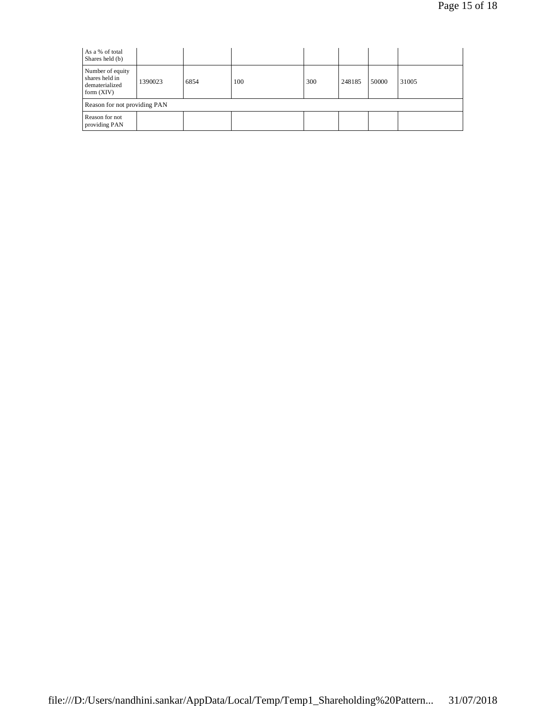| As a % of total<br>Shares held (b)                                   |         |      |     |     |        |       |       |
|----------------------------------------------------------------------|---------|------|-----|-----|--------|-------|-------|
| Number of equity<br>shares held in<br>dematerialized<br>form $(XIV)$ | 1390023 | 6854 | 100 | 300 | 248185 | 50000 | 31005 |
| Reason for not providing PAN                                         |         |      |     |     |        |       |       |
| Reason for not<br>providing PAN                                      |         |      |     |     |        |       |       |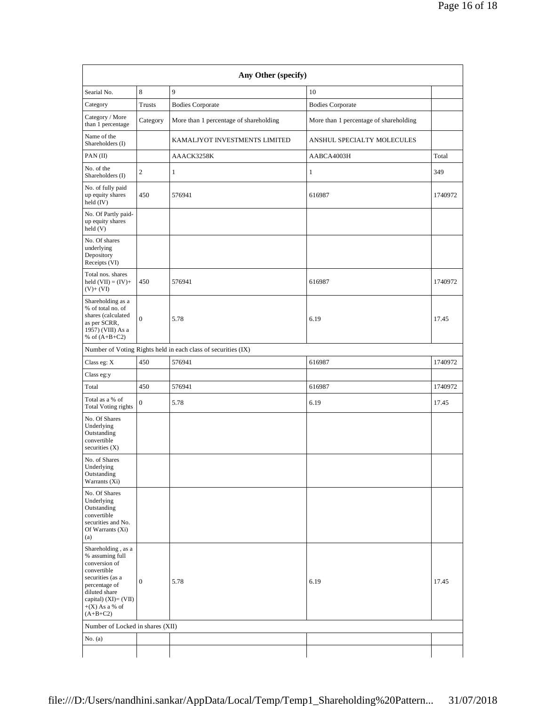| Any Other (specify)                                                                                                                                                                      |                  |                                                               |                                        |         |  |  |  |
|------------------------------------------------------------------------------------------------------------------------------------------------------------------------------------------|------------------|---------------------------------------------------------------|----------------------------------------|---------|--|--|--|
| Searial No.                                                                                                                                                                              | 8<br>9<br>10     |                                                               |                                        |         |  |  |  |
| Category                                                                                                                                                                                 | Trusts           | <b>Bodies Corporate</b>                                       | <b>Bodies Corporate</b>                |         |  |  |  |
| Category / More<br>than 1 percentage                                                                                                                                                     | Category         | More than 1 percentage of shareholding                        | More than 1 percentage of shareholding |         |  |  |  |
| Name of the<br>Shareholders (I)                                                                                                                                                          |                  | KAMALJYOT INVESTMENTS LIMITED                                 | ANSHUL SPECIALTY MOLECULES             |         |  |  |  |
| PAN(II)                                                                                                                                                                                  |                  | AAACK3258K                                                    | AABCA4003H                             | Total   |  |  |  |
| No. of the<br>Shareholders (I)                                                                                                                                                           | 2                | $\mathbf{1}$                                                  | $\mathbf{1}$                           | 349     |  |  |  |
| No. of fully paid<br>up equity shares<br>held (IV)                                                                                                                                       | 450              | 576941                                                        | 616987                                 | 1740972 |  |  |  |
| No. Of Partly paid-<br>up equity shares<br>held (V)                                                                                                                                      |                  |                                                               |                                        |         |  |  |  |
| No. Of shares<br>underlying<br>Depository<br>Receipts (VI)                                                                                                                               |                  |                                                               |                                        |         |  |  |  |
| Total nos, shares<br>held $(VII) = (IV) +$<br>$(V)+(VI)$                                                                                                                                 | 450              | 576941                                                        | 616987                                 | 1740972 |  |  |  |
| Shareholding as a<br>% of total no. of<br>shares (calculated<br>as per SCRR,<br>1957) (VIII) As a<br>% of $(A+B+C2)$                                                                     | $\mathbf{0}$     | 5.78                                                          | 6.19                                   | 17.45   |  |  |  |
|                                                                                                                                                                                          |                  | Number of Voting Rights held in each class of securities (IX) |                                        |         |  |  |  |
| Class eg: X                                                                                                                                                                              | 450              | 576941                                                        | 616987                                 | 1740972 |  |  |  |
| Class eg:y                                                                                                                                                                               |                  |                                                               |                                        |         |  |  |  |
| Total                                                                                                                                                                                    | 450              | 576941                                                        | 616987                                 | 1740972 |  |  |  |
| Total as a % of<br><b>Total Voting rights</b>                                                                                                                                            | $\boldsymbol{0}$ | 5.78                                                          | 6.19                                   | 17.45   |  |  |  |
| No. Of Shares<br>Underlying<br>Outstanding<br>convertible<br>securities $(X)$                                                                                                            |                  |                                                               |                                        |         |  |  |  |
| No. of Shares<br>Underlying<br>Outstanding<br>Warrants (Xi)                                                                                                                              |                  |                                                               |                                        |         |  |  |  |
| No. Of Shares<br>Underlying<br>Outstanding<br>convertible<br>securities and No.<br>Of Warrants (Xi)<br>(a)                                                                               |                  |                                                               |                                        |         |  |  |  |
| Shareholding, as a<br>% assuming full<br>conversion of<br>convertible<br>securities (as a<br>percentage of<br>diluted share<br>capital) $(XI) = (VII)$<br>$+(X)$ As a % of<br>$(A+B+C2)$ | $\boldsymbol{0}$ | 5.78                                                          | 6.19                                   | 17.45   |  |  |  |
| Number of Locked in shares (XII)                                                                                                                                                         |                  |                                                               |                                        |         |  |  |  |
| No. $(a)$                                                                                                                                                                                |                  |                                                               |                                        |         |  |  |  |
|                                                                                                                                                                                          |                  |                                                               |                                        |         |  |  |  |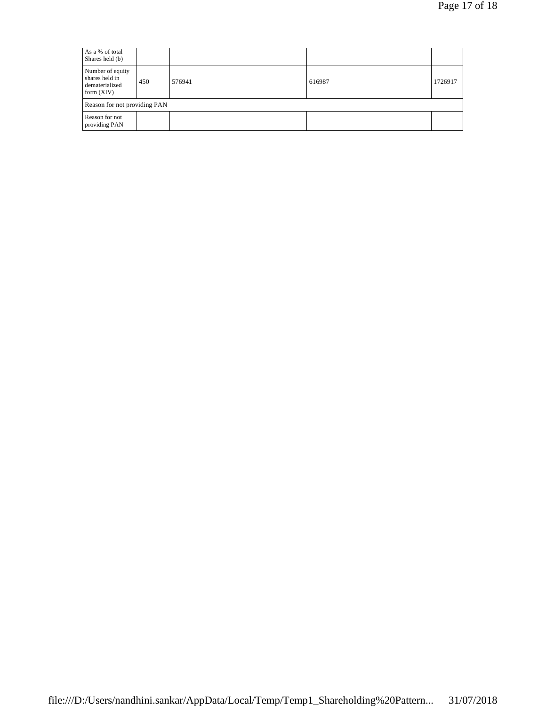| As a % of total<br>Shares held (b)                                   |     |        |        |         |  |  |
|----------------------------------------------------------------------|-----|--------|--------|---------|--|--|
| Number of equity<br>shares held in<br>dematerialized<br>form $(XIV)$ | 450 | 576941 | 616987 | 1726917 |  |  |
| Reason for not providing PAN                                         |     |        |        |         |  |  |
| Reason for not<br>providing PAN                                      |     |        |        |         |  |  |